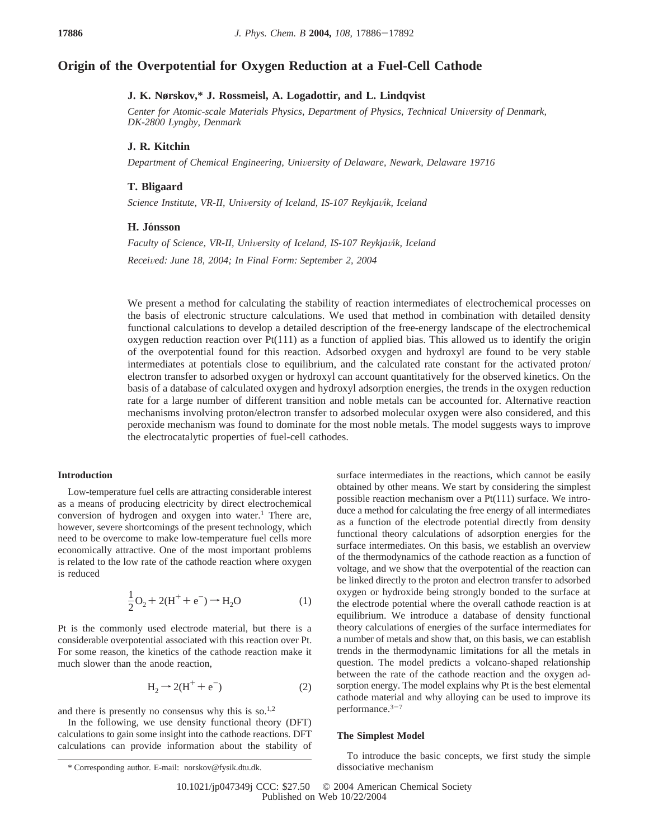## **Origin of the Overpotential for Oxygen Reduction at a Fuel-Cell Cathode**

# **J. K. Nørskov,\* J. Rossmeisl, A. Logadottir, and L. Lindqvist**

*Center for Atomic-scale Materials Physics, Department of Physics, Technical University of Denmark, DK-2800 Lyngby, Denmark*

## **J. R. Kitchin**

*Department of Chemical Engineering, Uni*V*ersity of Delaware, Newark, Delaware 19716*

## **T. Bligaard**

*Science Institute, VR-II, Uni*V*ersity of Iceland, IS-107 Reykja*V´*ık, Iceland*

## **H. Jo**´**nsson**

*Faculty of Science, VR-II, Uni*V*ersity of Iceland, IS-107 Reykja*V´*ık, Iceland Recei*V*ed: June 18, 2004; In Final Form: September 2, 2004*

We present a method for calculating the stability of reaction intermediates of electrochemical processes on the basis of electronic structure calculations. We used that method in combination with detailed density functional calculations to develop a detailed description of the free-energy landscape of the electrochemical oxygen reduction reaction over  $Pt(111)$  as a function of applied bias. This allowed us to identify the origin of the overpotential found for this reaction. Adsorbed oxygen and hydroxyl are found to be very stable intermediates at potentials close to equilibrium, and the calculated rate constant for the activated proton/ electron transfer to adsorbed oxygen or hydroxyl can account quantitatively for the observed kinetics. On the basis of a database of calculated oxygen and hydroxyl adsorption energies, the trends in the oxygen reduction rate for a large number of different transition and noble metals can be accounted for. Alternative reaction mechanisms involving proton/electron transfer to adsorbed molecular oxygen were also considered, and this peroxide mechanism was found to dominate for the most noble metals. The model suggests ways to improve the electrocatalytic properties of fuel-cell cathodes.

### **Introduction**

Low-temperature fuel cells are attracting considerable interest as a means of producing electricity by direct electrochemical conversion of hydrogen and oxygen into water.<sup>1</sup> There are, however, severe shortcomings of the present technology, which need to be overcome to make low-temperature fuel cells more economically attractive. One of the most important problems is related to the low rate of the cathode reaction where oxygen is reduced

$$
\frac{1}{2}O_2 + 2(H^+ + e^-) \to H_2O
$$
 (1)

Pt is the commonly used electrode material, but there is a considerable overpotential associated with this reaction over Pt. For some reason, the kinetics of the cathode reaction make it much slower than the anode reaction,

$$
H_2 \rightarrow 2(H^+ + e^-) \tag{2}
$$

and there is presently no consensus why this is  $so.^{1,2}$ 

In the following, we use density functional theory (DFT) calculations to gain some insight into the cathode reactions. DFT calculations can provide information about the stability of

surface intermediates in the reactions, which cannot be easily obtained by other means. We start by considering the simplest possible reaction mechanism over a Pt(111) surface. We introduce a method for calculating the free energy of all intermediates as a function of the electrode potential directly from density functional theory calculations of adsorption energies for the surface intermediates. On this basis, we establish an overview of the thermodynamics of the cathode reaction as a function of voltage, and we show that the overpotential of the reaction can be linked directly to the proton and electron transfer to adsorbed oxygen or hydroxide being strongly bonded to the surface at the electrode potential where the overall cathode reaction is at equilibrium. We introduce a database of density functional theory calculations of energies of the surface intermediates for a number of metals and show that, on this basis, we can establish trends in the thermodynamic limitations for all the metals in question. The model predicts a volcano-shaped relationship between the rate of the cathode reaction and the oxygen adsorption energy. The model explains why Pt is the best elemental cathode material and why alloying can be used to improve its performance.3-<sup>7</sup>

#### **The Simplest Model**

To introduce the basic concepts, we first study the simple

10.1021/jp047349j CCC: \$27.50 © 2004 American Chemical Society Published on Web 10/22/2004

<sup>\*</sup> Corresponding author. E-mail: norskov@fysik.dtu.dk. dissociative mechanism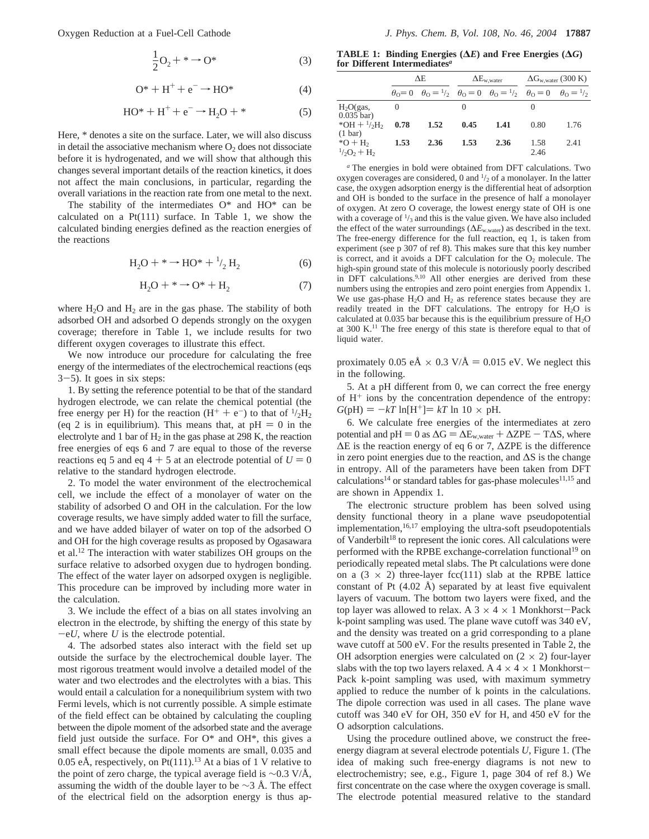$$
\frac{1}{2}O_2 + * \rightarrow O^* \tag{3}
$$

$$
O^* + H^+ + e^- \rightarrow HO^* \tag{4}
$$

$$
HO^* + H^+ + e^- \rightarrow H_2O + * \tag{5}
$$

Here, \* denotes a site on the surface. Later, we will also discuss in detail the associative mechanism where  $O<sub>2</sub>$  does not dissociate before it is hydrogenated, and we will show that although this changes several important details of the reaction kinetics, it does not affect the main conclusions, in particular, regarding the overall variations in the reaction rate from one metal to the next.

The stability of the intermediates  $O^*$  and  $HO^*$  can be calculated on a  $Pt(111)$  surface. In Table 1, we show the calculated binding energies defined as the reaction energies of the reactions

$$
H_2O + * \rightarrow HO^* + \frac{1}{2}H_2
$$
 (6)

$$
H_2O + * \rightarrow O^* + H_2 \tag{7}
$$

where  $H_2O$  and  $H_2$  are in the gas phase. The stability of both adsorbed OH and adsorbed O depends strongly on the oxygen coverage; therefore in Table 1, we include results for two different oxygen coverages to illustrate this effect.

We now introduce our procedure for calculating the free energy of the intermediates of the electrochemical reactions (eqs <sup>3</sup>-5). It goes in six steps:

1. By setting the reference potential to be that of the standard hydrogen electrode, we can relate the chemical potential (the free energy per H) for the reaction  $(H^+ + e^-)$  to that of  $\frac{1}{2}H_2$ (eq 2 is in equilibrium). This means that, at  $pH = 0$  in the electrolyte and 1 bar of  $H_2$  in the gas phase at 298 K, the reaction free energies of eqs 6 and 7 are equal to those of the reverse reactions eq 5 and eq 4 + 5 at an electrode potential of  $U = 0$ relative to the standard hydrogen electrode.

2. To model the water environment of the electrochemical cell, we include the effect of a monolayer of water on the stability of adsorbed O and OH in the calculation. For the low coverage results, we have simply added water to fill the surface, and we have added bilayer of water on top of the adsorbed O and OH for the high coverage results as proposed by Ogasawara et al.12 The interaction with water stabilizes OH groups on the surface relative to adsorbed oxygen due to hydrogen bonding. The effect of the water layer on adsorped oxygen is negligible. This procedure can be improved by including more water in the calculation.

3. We include the effect of a bias on all states involving an electron in the electrode, by shifting the energy of this state by -e*U*, where *<sup>U</sup>* is the electrode potential.

4. The adsorbed states also interact with the field set up outside the surface by the electrochemical double layer. The most rigorous treatment would involve a detailed model of the water and two electrodes and the electrolytes with a bias. This would entail a calculation for a nonequilibrium system with two Fermi levels, which is not currently possible. A simple estimate of the field effect can be obtained by calculating the coupling between the dipole moment of the adsorbed state and the average field just outside the surface. For O\* and OH\*, this gives a small effect because the dipole moments are small, 0.035 and 0.05 eÅ, respectively, on Pt $(111)$ .<sup>13</sup> At a bias of 1 V relative to the point of zero charge, the typical average field is  $\sim$ 0.3 V/Å, assuming the width of the double layer to be  $\sim$ 3 Å. The effect of the electrical field on the adsorption energy is thus ap-

**TABLE 1: Binding Energies (** $\Delta E$ **) and Free Energies (** $\Delta G$ **) for Different Intermediates***<sup>a</sup>*

|                                                        | ΔЕ       |      | $\Delta E_{\rm w, water}$ |                                                                                                                         | $\Delta G_{\text{w,water}}$ (300 K) |      |
|--------------------------------------------------------|----------|------|---------------------------|-------------------------------------------------------------------------------------------------------------------------|-------------------------------------|------|
|                                                        |          |      |                           | $\theta_0 = 0$ $\theta_0 = \frac{1}{2}$ $\theta_0 = 0$ $\theta_0 = \frac{1}{2}$ $\theta_0 = 0$ $\theta_0 = \frac{1}{2}$ |                                     |      |
| $H_2O(gas,$<br>$0.035$ bar)                            | $\Omega$ |      | $\Omega$                  |                                                                                                                         | $\Omega$                            |      |
| *OH + $\frac{1}{2}$ H <sub>2</sub><br>(1 bar)          | 0.78     | 1.52 | 0.45                      | 1.41                                                                                                                    | 0.80                                | 1.76 |
| $*O + H_2$<br>$^{1/2}$ O <sub>2</sub> + H <sub>2</sub> | 1.53     | 2.36 | 1.53                      | 2.36                                                                                                                    | 1.58<br>2.46                        | 2.41 |

*<sup>a</sup>* The energies in bold were obtained from DFT calculations. Two oxygen coverages are considered, 0 and  $\frac{1}{2}$  of a monolayer. In the latter case, the oxygen adsorption energy is the differential heat of adsorption and OH is bonded to the surface in the presence of half a monolayer of oxygen. At zero O coverage, the lowest energy state of OH is one with a coverage of  $\frac{1}{3}$  and this is the value given. We have also included the effect of the water surroundings (∆*E*w.water) as described in the text. The free-energy difference for the full reaction, eq 1, is taken from experiment (see p 307 of ref 8). This makes sure that this key number is correct, and it avoids a DFT calculation for the  $O_2$  molecule. The high-spin ground state of this molecule is notoriously poorly described in DFT calculations.<sup>9,10</sup> All other energies are derived from these numbers using the entropies and zero point energies from Appendix 1. We use gas-phase  $H_2O$  and  $H_2$  as reference states because they are readily treated in the DFT calculations. The entropy for H2O is calculated at 0.035 bar because this is the equilibrium pressure of  $H_2O$ at 300 K.11 The free energy of this state is therefore equal to that of liquid water.

proximately 0.05 eÅ  $\times$  0.3 V/Å = 0.015 eV. We neglect this in the following.

5. At a pH different from 0, we can correct the free energy of  $H^+$  ions by the concentration dependence of the entropy:  $G(pH) = -kT \ln[H^+] = kT \ln 10 \times pH.$ 

6. We calculate free energies of the intermediates at zero potential and pH = 0 as  $\Delta G = \Delta E_{w,water} + \Delta ZPE - T\Delta S$ , where ∆E is the reaction energy of eq 6 or 7, ∆ZPE is the difference in zero point energies due to the reaction, and ∆S is the change in entropy. All of the parameters have been taken from DFT calculations<sup>14</sup> or standard tables for gas-phase molecules<sup>11,15</sup> and are shown in Appendix 1.

The electronic structure problem has been solved using density functional theory in a plane wave pseudopotential implementation,<sup>16,17</sup> employing the ultra-soft pseudopotentials of Vanderbilt<sup>18</sup> to represent the ionic cores. All calculations were performed with the RPBE exchange-correlation functional<sup>19</sup> on periodically repeated metal slabs. The Pt calculations were done on a  $(3 \times 2)$  three-layer fcc(111) slab at the RPBE lattice constant of Pt  $(4.02 \text{ Å})$  separated by at least five equivalent layers of vacuum. The bottom two layers were fixed, and the top layer was allowed to relax. A  $3 \times 4 \times 1$  Monkhorst-Pack k-point sampling was used. The plane wave cutoff was 340 eV, and the density was treated on a grid corresponding to a plane wave cutoff at 500 eV. For the results presented in Table 2, the OH adsorption energies were calculated on  $(2 \times 2)$  four-layer slabs with the top two layers relaxed. A  $4 \times 4 \times 1$  Monkhorst-Pack k-point sampling was used, with maximum symmetry applied to reduce the number of k points in the calculations. The dipole correction was used in all cases. The plane wave cutoff was 340 eV for OH, 350 eV for H, and 450 eV for the O adsorption calculations.

Using the procedure outlined above, we construct the freeenergy diagram at several electrode potentials *U*, Figure 1. (The idea of making such free-energy diagrams is not new to electrochemistry; see, e.g., Figure 1, page 304 of ref 8.) We first concentrate on the case where the oxygen coverage is small. The electrode potential measured relative to the standard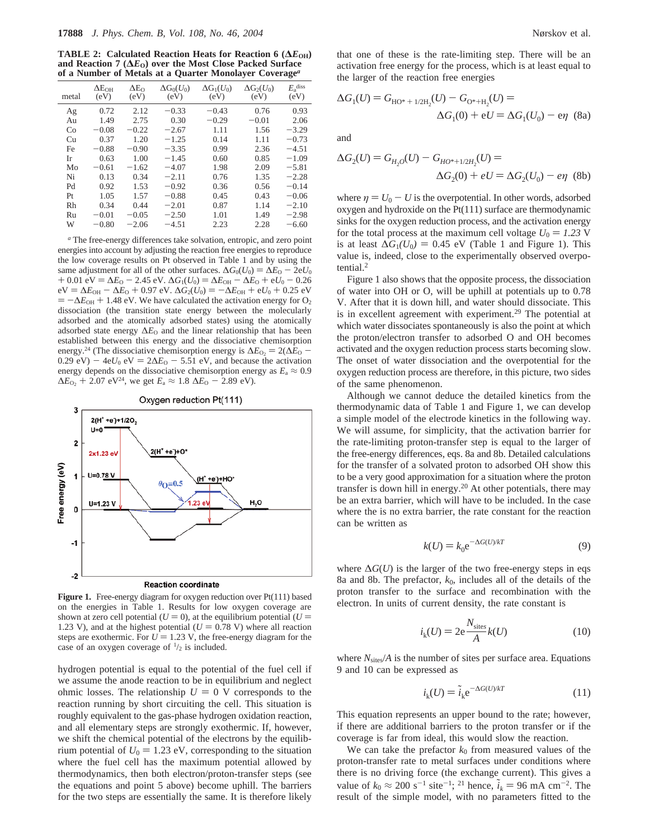**TABLE 2: Calculated Reaction Heats for Reaction 6 (** $\Delta E$ **<sub>OH</sub>)** and Reaction 7 ( $\Delta E_0$ ) over the Most Close Packed Surface **of a Number of Metals at a Quarter Monolayer Coverage***<sup>a</sup>*

| metal | $\Delta E_{OH}$<br>(eV) | $\Delta E_{\Omega}$<br>(eV) | $\Delta G_0(U_0)$<br>(eV) | $\Delta G_1(U_0)$<br>(eV) | $\Delta G_2(U_0)$<br>(eV) | $E_{\rm a}^{\rm diss}$<br>(eV) |
|-------|-------------------------|-----------------------------|---------------------------|---------------------------|---------------------------|--------------------------------|
| Ag    | 0.72                    | 2.12                        | $-0.33$                   | $-0.43$                   | 0.76                      | 0.93                           |
| Au    | 1.49                    | 2.75                        | 0.30                      | $-0.29$                   | $-0.01$                   | 2.06                           |
| Co    | $-0.08$                 | $-0.22$                     | $-2.67$                   | 1.11                      | 1.56                      | $-3.29$                        |
| Cu    | 0.37                    | 1.20                        | $-1.25$                   | 0.14                      | 1.11                      | $-0.73$                        |
| Fe    | $-0.88$                 | $-0.90$                     | $-3.35$                   | 0.99                      | 2.36                      | $-4.51$                        |
| Ir    | 0.63                    | 1.00                        | $-1.45$                   | 0.60                      | 0.85                      | $-1.09$                        |
| Mo    | $-0.61$                 | $-1.62$                     | $-4.07$                   | 1.98                      | 2.09                      | $-5.81$                        |
| Ni    | 0.13                    | 0.34                        | $-2.11$                   | 0.76                      | 1.35                      | $-2.28$                        |
| Pd    | 0.92                    | 1.53                        | $-0.92$                   | 0.36                      | 0.56                      | $-0.14$                        |
| Pt    | 1.05                    | 1.57                        | $-0.88$                   | 0.45                      | 0.43                      | $-0.06$                        |
| Rh    | 0.34                    | 0.44                        | $-2.01$                   | 0.87                      | 1.14                      | $-2.10$                        |
| Ru    | $-0.01$                 | $-0.05$                     | $-2.50$                   | 1.01                      | 1.49                      | $-2.98$                        |
| W     | $-0.80$                 | $-2.06$                     | $-4.51$                   | 2.23                      | 2.28                      | $-6.60$                        |
|       |                         |                             |                           |                           |                           |                                |

*<sup>a</sup>* The free-energy differences take solvation, entropic, and zero point energies into account by adjusting the reaction free energies to reproduce the low coverage results on Pt observed in Table 1 and by using the same adjustment for all of the other surfaces.  $\Delta G_0(U_0) = \Delta E_0 - 2eU_0$  $+ 0.01 \text{ eV} = \Delta E_0 - 2.45 \text{ eV}$ .  $\Delta G_1(U_0) = \Delta E_{OH} - \Delta E_0 + \text{e}U_0 - 0.26$  $eV = \Delta E_{OH} - \Delta E_0 + 0.97$  eV.  $\Delta G_2(U_0) = -\Delta E_{OH} + eU_0 + 0.25$  eV  $= -\Delta E_{\text{OH}} + 1.48$  eV. We have calculated the activation energy for O<sub>2</sub> dissociation (the transition state energy between the molecularly adsorbed and the atomically adsorbed states) using the atomically adsorbed state energy  $\Delta E_0$  and the linear relationship that has been established between this energy and the dissociative chemisorption energy.<sup>24</sup> (The dissociative chemisorption energy is  $\Delta E_{\text{O}_2} = 2(\Delta E_{\text{O}} 0.29 \text{ eV}$ ) - 4e $U_0$  eV =  $2\Delta E_0$  - 5.51 eV, and because the activation energy depends on the dissociative chemisorption energy as  $E_a \approx 0.9$  $\Delta E_{\text{O}_2}$  + 2.07 eV<sup>24</sup>, we get  $E_a \approx 1.8 \Delta E_0 - 2.89 \text{ eV}$ .



Figure 1. Free-energy diagram for oxygen reduction over Pt(111) based on the energies in Table 1. Results for low oxygen coverage are shown at zero cell potential  $(U = 0)$ , at the equilibrium potential  $(U = 0)$ 1.23 V), and at the highest potential ( $U = 0.78$  V) where all reaction steps are exothermic. For  $U = 1.23$  V, the free-energy diagram for the case of an oxygen coverage of  $\frac{1}{2}$  is included.

hydrogen potential is equal to the potential of the fuel cell if we assume the anode reaction to be in equilibrium and neglect ohmic losses. The relationship  $U = 0$  V corresponds to the reaction running by short circuiting the cell. This situation is roughly equivalent to the gas-phase hydrogen oxidation reaction, and all elementary steps are strongly exothermic. If, however, we shift the chemical potential of the electrons by the equilibrium potential of  $U_0 = 1.23$  eV, corresponding to the situation where the fuel cell has the maximum potential allowed by thermodynamics, then both electron/proton-transfer steps (see the equations and point 5 above) become uphill. The barriers for the two steps are essentially the same. It is therefore likely

that one of these is the rate-limiting step. There will be an activation free energy for the process, which is at least equal to the larger of the reaction free energies

$$
\Delta G_1(U) = G_{\text{HO*} + 1/2\text{H}_2}(U) - G_{\text{O*} + \text{H}_2}(U) =
$$
  
 
$$
\Delta G_1(0) + eU = \Delta G_1(U_0) - e\eta
$$
 (8a)

and

$$
\Delta G_2(U) = G_{H_2O}(U) - G_{HO^*+1/2H_2}(U) =
$$
  
 
$$
\Delta G_2(0) + eU = \Delta G_2(U_0) - e\eta
$$
 (8b)

where  $\eta = U_0 - U$  is the overpotential. In other words, adsorbed oxygen and hydroxide on the Pt(111) surface are thermodynamic sinks for the oxygen reduction process, and the activation energy for the total process at the maximum cell voltage  $U_0 = 1.23$  V is at least  $\Delta G_1(U_0) = 0.45$  eV (Table 1 and Figure 1). This value is, indeed, close to the experimentally observed overpotential.2

Figure 1 also shows that the opposite process, the dissociation of water into OH or O, will be uphill at potentials up to 0.78 V. After that it is down hill, and water should dissociate. This is in excellent agreement with experiment.<sup>29</sup> The potential at which water dissociates spontaneously is also the point at which the proton/electron transfer to adsorbed O and OH becomes activated and the oxygen reduction process starts becoming slow. The onset of water dissociation and the overpotential for the oxygen reduction process are therefore, in this picture, two sides of the same phenomenon.

Although we cannot deduce the detailed kinetics from the thermodynamic data of Table 1 and Figure 1, we can develop a simple model of the electrode kinetics in the following way. We will assume, for simplicity, that the activation barrier for the rate-limiting proton-transfer step is equal to the larger of the free-energy differences, eqs. 8a and 8b. Detailed calculations for the transfer of a solvated proton to adsorbed OH show this to be a very good approximation for a situation where the proton transfer is down hill in energy.20 At other potentials, there may be an extra barrier, which will have to be included. In the case where the is no extra barrier, the rate constant for the reaction can be written as

$$
k(U) = k_0 e^{-\Delta G(U)/kT}
$$
 (9)

where  $\Delta G(U)$  is the larger of the two free-energy steps in eqs 8a and 8b. The prefactor, *k*0, includes all of the details of the proton transfer to the surface and recombination with the electron. In units of current density, the rate constant is

$$
i_{k}(U) = 2e \frac{N_{\text{sites}}}{A} k(U)
$$
\n(10)

where  $N_{\text{sites}}/A$  is the number of sites per surface area. Equations 9 and 10 can be expressed as

$$
i_{k}(U) = \tilde{i}_{k} e^{-\Delta G(U)/kT}
$$
 (11)

This equation represents an upper bound to the rate; however, if there are additional barriers to the proton transfer or if the coverage is far from ideal, this would slow the reaction.

We can take the prefactor  $k_0$  from measured values of the proton-transfer rate to metal surfaces under conditions where there is no driving force (the exchange current). This gives a value of  $k_0 \approx 200 \text{ s}^{-1}$  site<sup>-1</sup>; <sup>21</sup> hence,  $\tilde{i}_k = 96 \text{ mA cm}^{-2}$ . The result of the simple model, with no parameters fitted to the result of the simple model, with no parameters fitted to the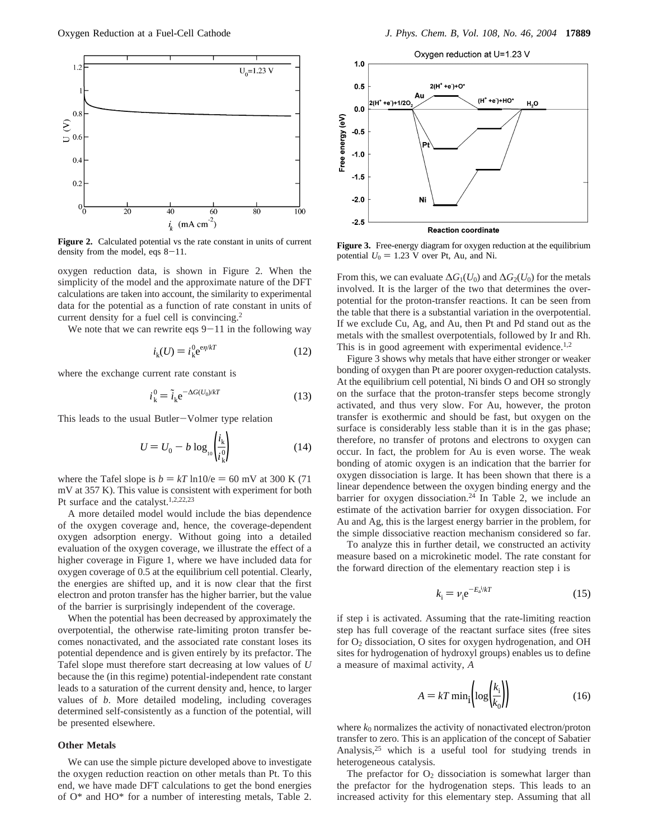

**Figure 2.** Calculated potential vs the rate constant in units of current density from the model, eqs  $8-11$ .

oxygen reduction data, is shown in Figure 2. When the simplicity of the model and the approximate nature of the DFT calculations are taken into account, the similarity to experimental data for the potential as a function of rate constant in units of current density for a fuel cell is convincing.<sup>2</sup>

We note that we can rewrite eqs  $9-11$  in the following way

$$
i_{k}(U) = i_{k}^{0} e^{i\eta/kT}
$$
 (12)

where the exchange current rate constant is

$$
i_k^0 = \tilde{i}_k e^{-\Delta G(U_0)/kT}
$$
 (13)

This leads to the usual Butler-Volmer type relation

$$
U = U_0 - b \log_{10} \left( \frac{i_k}{i_k} \right) \tag{14}
$$

where the Tafel slope is  $b = kT \ln 10/e = 60$  mV at 300 K (71) mV at 357 K). This value is consistent with experiment for both Pt surface and the catalyst.<sup>1,2,22,23</sup>

A more detailed model would include the bias dependence of the oxygen coverage and, hence, the coverage-dependent oxygen adsorption energy. Without going into a detailed evaluation of the oxygen coverage, we illustrate the effect of a higher coverage in Figure 1, where we have included data for oxygen coverage of 0.5 at the equilibrium cell potential. Clearly, the energies are shifted up, and it is now clear that the first electron and proton transfer has the higher barrier, but the value of the barrier is surprisingly independent of the coverage.

When the potential has been decreased by approximately the overpotential, the otherwise rate-limiting proton transfer becomes nonactivated, and the associated rate constant loses its potential dependence and is given entirely by its prefactor. The Tafel slope must therefore start decreasing at low values of *U* because the (in this regime) potential-independent rate constant leads to a saturation of the current density and, hence, to larger values of *b*. More detailed modeling, including coverages determined self-consistently as a function of the potential, will be presented elsewhere.

## **Other Metals**

We can use the simple picture developed above to investigate the oxygen reduction reaction on other metals than Pt. To this end, we have made DFT calculations to get the bond energies of O\* and HO\* for a number of interesting metals, Table 2.

Oxygen reduction at U=1.23 V



Figure 3. Free-energy diagram for oxygen reduction at the equilibrium potential  $U_0 = 1.23$  V over Pt, Au, and Ni.

From this, we can evaluate  $\Delta G_1(U_0)$  and  $\Delta G_2(U_0)$  for the metals involved. It is the larger of the two that determines the overpotential for the proton-transfer reactions. It can be seen from the table that there is a substantial variation in the overpotential. If we exclude Cu, Ag, and Au, then Pt and Pd stand out as the metals with the smallest overpotentials, followed by Ir and Rh. This is in good agreement with experimental evidence.<sup>1,2</sup>

Figure 3 shows why metals that have either stronger or weaker bonding of oxygen than Pt are poorer oxygen-reduction catalysts. At the equilibrium cell potential, Ni binds O and OH so strongly on the surface that the proton-transfer steps become strongly activated, and thus very slow. For Au, however, the proton transfer is exothermic and should be fast, but oxygen on the surface is considerably less stable than it is in the gas phase; therefore, no transfer of protons and electrons to oxygen can occur. In fact, the problem for Au is even worse. The weak bonding of atomic oxygen is an indication that the barrier for oxygen dissociation is large. It has been shown that there is a linear dependence between the oxygen binding energy and the barrier for oxygen dissociation.<sup>24</sup> In Table 2, we include an estimate of the activation barrier for oxygen dissociation. For Au and Ag, this is the largest energy barrier in the problem, for the simple dissociative reaction mechanism considered so far.

To analyze this in further detail, we constructed an activity measure based on a microkinetic model. The rate constant for the forward direction of the elementary reaction step i is

$$
k_{\rm i} = \nu_{\rm i} e^{-E_{\rm a}^{ij} kT} \tag{15}
$$

if step i is activated. Assuming that the rate-limiting reaction step has full coverage of the reactant surface sites (free sites for  $O_2$  dissociation, O sites for oxygen hydrogenation, and OH sites for hydrogenation of hydroxyl groups) enables us to define a measure of maximal activity, *A*

$$
A = kT \min_{\mathbf{i}} \left( \log \left( \frac{k_{\mathbf{i}}}{k_0} \right) \right) \tag{16}
$$

where  $k_0$  normalizes the activity of nonactivated electron/proton transfer to zero. This is an application of the concept of Sabatier Analysis,25 which is a useful tool for studying trends in heterogeneous catalysis.

The prefactor for  $O_2$  dissociation is somewhat larger than the prefactor for the hydrogenation steps. This leads to an increased activity for this elementary step. Assuming that all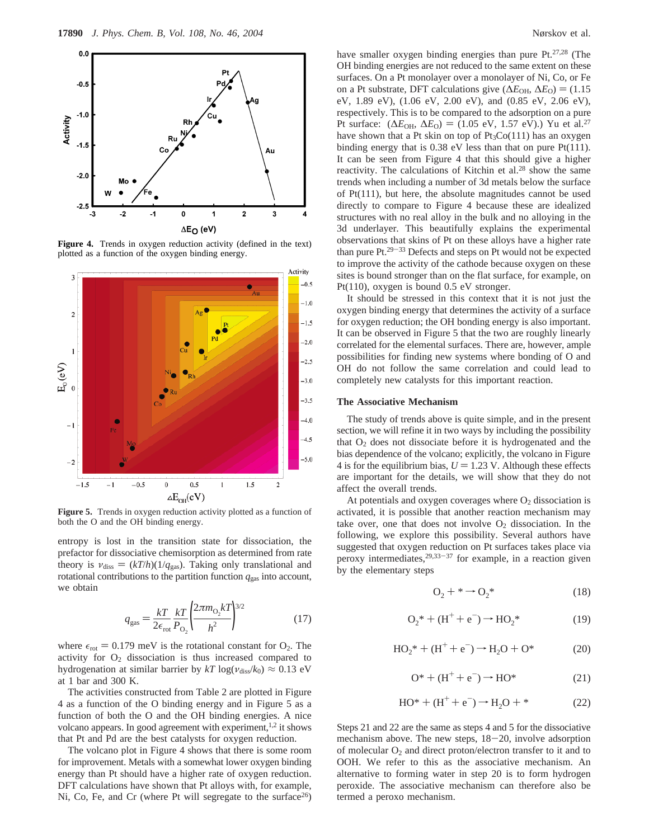

**Figure 4.** Trends in oxygen reduction activity (defined in the text) plotted as a function of the oxygen binding energy.



**Figure 5.** Trends in oxygen reduction activity plotted as a function of both the O and the OH binding energy.

entropy is lost in the transition state for dissociation, the prefactor for dissociative chemisorption as determined from rate theory is  $v_{\text{diss}} = (kT/h)(1/q_{\text{gas}})$ . Taking only translational and rotational contributions to the partition function *q*gas into account, we obtain

$$
q_{\rm gas} = \frac{kT}{2\epsilon_{\rm rot}} \frac{kT}{P_{\rm O_2}} \left(\frac{2\pi m_{\rm O_2} kT}{h^2}\right)^{3/2} \tag{17}
$$

where  $\epsilon_{\rm rot} = 0.179$  meV is the rotational constant for O<sub>2</sub>. The activity for  $O_2$  dissociation is thus increased compared to hydrogenation at similar barrier by  $kT \log(\nu_{\text{diss}}/k_0) \approx 0.13 \text{ eV}$ at 1 bar and 300 K.

The activities constructed from Table 2 are plotted in Figure 4 as a function of the O binding energy and in Figure 5 as a function of both the O and the OH binding energies. A nice volcano appears. In good agreement with experiment,<sup>1,2</sup> it shows that Pt and Pd are the best catalysts for oxygen reduction.

The volcano plot in Figure 4 shows that there is some room for improvement. Metals with a somewhat lower oxygen binding energy than Pt should have a higher rate of oxygen reduction. DFT calculations have shown that Pt alloys with, for example, Ni, Co, Fe, and Cr (where Pt will segregate to the surface<sup>26</sup>) have smaller oxygen binding energies than pure Pt.27,28 (The OH binding energies are not reduced to the same extent on these surfaces. On a Pt monolayer over a monolayer of Ni, Co, or Fe on a Pt substrate, DFT calculations give ( $\Delta E_{\text{OH}}$ ,  $\Delta E_{\text{O}}$ ) = (1.15 eV, 1.89 eV), (1.06 eV, 2.00 eV), and (0.85 eV, 2.06 eV), respectively. This is to be compared to the adsorption on a pure Pt surface:  $(\Delta E_{OH}, \Delta E_{O}) = (1.05 \text{ eV}, 1.57 \text{ eV})$ .) Yu et al.<sup>27</sup> have shown that a Pt skin on top of  $Pt_3Co(111)$  has an oxygen binding energy that is 0.38 eV less than that on pure Pt(111). It can be seen from Figure 4 that this should give a higher reactivity. The calculations of Kitchin et al.<sup>28</sup> show the same trends when including a number of 3d metals below the surface of Pt(111), but here, the absolute magnitudes cannot be used directly to compare to Figure 4 because these are idealized structures with no real alloy in the bulk and no alloying in the 3d underlayer. This beautifully explains the experimental observations that skins of Pt on these alloys have a higher rate than pure Pt.<sup>29-33</sup> Defects and steps on Pt would not be expected to improve the activity of the cathode because oxygen on these sites is bound stronger than on the flat surface, for example, on Pt(110), oxygen is bound 0.5 eV stronger.

It should be stressed in this context that it is not just the oxygen binding energy that determines the activity of a surface for oxygen reduction; the OH bonding energy is also important. It can be observed in Figure 5 that the two are roughly linearly correlated for the elemental surfaces. There are, however, ample possibilities for finding new systems where bonding of O and OH do not follow the same correlation and could lead to completely new catalysts for this important reaction.

#### **The Associative Mechanism**

The study of trends above is quite simple, and in the present section, we will refine it in two ways by including the possibility that  $O<sub>2</sub>$  does not dissociate before it is hydrogenated and the bias dependence of the volcano; explicitly, the volcano in Figure 4 is for the equilibrium bias,  $U = 1.23$  V. Although these effects are important for the details, we will show that they do not affect the overall trends.

At potentials and oxygen coverages where  $O<sub>2</sub>$  dissociation is activated, it is possible that another reaction mechanism may take over, one that does not involve  $O_2$  dissociation. In the following, we explore this possibility. Several authors have suggested that oxygen reduction on Pt surfaces takes place via peroxy intermediates,<sup>29,33-37</sup> for example, in a reaction given by the elementary steps

$$
O_2 + * \rightarrow O_2 * \tag{18}
$$

$$
O_2^* + (H^+ + e^-) \to HO_2^* \tag{19}
$$

$$
HO_2^* + (H^+ + e^-) \to H_2O + O^*
$$
 (20)

$$
O^* + (H^+ + e^-) \rightarrow HO^* \tag{21}
$$

$$
HO^* + (H^+ + e^-) \to H_2O + * \tag{22}
$$

Steps 21 and 22 are the same as steps 4 and 5 for the dissociative mechanism above. The new steps, 18-20, involve adsorption of molecular O<sub>2</sub> and direct proton/electron transfer to it and to OOH. We refer to this as the associative mechanism. An alternative to forming water in step 20 is to form hydrogen peroxide. The associative mechanism can therefore also be termed a peroxo mechanism.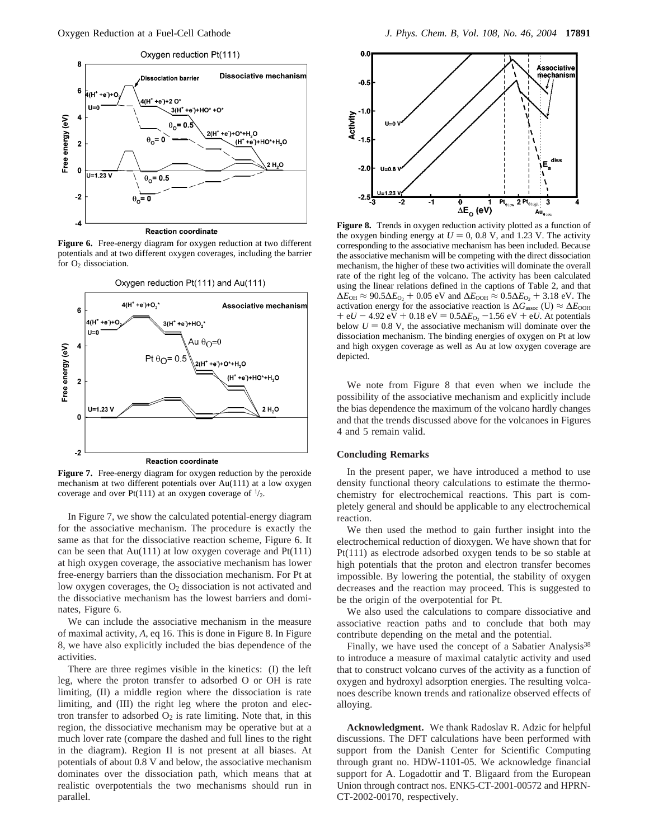

Figure 6. Free-energy diagram for oxygen reduction at two different potentials and at two different oxygen coverages, including the barrier for  $O<sub>2</sub>$  dissociation.



Figure 7. Free-energy diagram for oxygen reduction by the peroxide mechanism at two different potentials over Au(111) at a low oxygen coverage and over Pt(111) at an oxygen coverage of  $\frac{1}{2}$ .

In Figure 7, we show the calculated potential-energy diagram for the associative mechanism. The procedure is exactly the same as that for the dissociative reaction scheme, Figure 6. It can be seen that  $Au(111)$  at low oxygen coverage and  $Pt(111)$ at high oxygen coverage, the associative mechanism has lower free-energy barriers than the dissociation mechanism. For Pt at low oxygen coverages, the  $O_2$  dissociation is not activated and the dissociative mechanism has the lowest barriers and dominates, Figure 6.

We can include the associative mechanism in the measure of maximal activity, *A*, eq 16. This is done in Figure 8. In Figure 8, we have also explicitly included the bias dependence of the activities.

There are three regimes visible in the kinetics: (I) the left leg, where the proton transfer to adsorbed O or OH is rate limiting, (II) a middle region where the dissociation is rate limiting, and (III) the right leg where the proton and electron transfer to adsorbed  $O_2$  is rate limiting. Note that, in this region, the dissociative mechanism may be operative but at a much lover rate (compare the dashed and full lines to the right in the diagram). Region II is not present at all biases. At potentials of about 0.8 V and below, the associative mechanism dominates over the dissociation path, which means that at realistic overpotentials the two mechanisms should run in parallel.



**Figure 8.** Trends in oxygen reduction activity plotted as a function of the oxygen binding energy at  $U = 0$ , 0.8 V, and 1.23 V. The activity corresponding to the associative mechanism has been included. Because the associative mechanism will be competing with the direct dissociation mechanism, the higher of these two activities will dominate the overall rate of the right leg of the volcano. The activity has been calculated using the linear relations defined in the captions of Table 2, and that  $\Delta E_{\text{OH}} \approx 90.5 \Delta E_{\text{O}_2} + 0.05 \text{ eV}$  and  $\Delta E_{\text{OOH}} \approx 0.5 \Delta E_{\text{O}_2} + 3.18 \text{ eV}$ . The activation energy for the associative reaction is  $\Delta G$ <sub>assoc</sub> (U)  $\approx \Delta E$ <sub>OOH</sub>  $+ eU - 4.92 eV + 0.18 eV = 0.5\Delta E_0$ ,  $-1.56 eV + eU$ . At potentials below  $U = 0.8$  V, the associative mechanism will dominate over the dissociation mechanism. The binding energies of oxygen on Pt at low and high oxygen coverage as well as Au at low oxygen coverage are depicted.

We note from Figure 8 that even when we include the possibility of the associative mechanism and explicitly include the bias dependence the maximum of the volcano hardly changes and that the trends discussed above for the volcanoes in Figures 4 and 5 remain valid.

## **Concluding Remarks**

In the present paper, we have introduced a method to use density functional theory calculations to estimate the thermochemistry for electrochemical reactions. This part is completely general and should be applicable to any electrochemical reaction.

We then used the method to gain further insight into the electrochemical reduction of dioxygen. We have shown that for Pt(111) as electrode adsorbed oxygen tends to be so stable at high potentials that the proton and electron transfer becomes impossible. By lowering the potential, the stability of oxygen decreases and the reaction may proceed. This is suggested to be the origin of the overpotential for Pt.

We also used the calculations to compare dissociative and associative reaction paths and to conclude that both may contribute depending on the metal and the potential.

Finally, we have used the concept of a Sabatier Analysis<sup>38</sup> to introduce a measure of maximal catalytic activity and used that to construct volcano curves of the activity as a function of oxygen and hydroxyl adsorption energies. The resulting volcanoes describe known trends and rationalize observed effects of alloying.

**Acknowledgment.** We thank Radoslav R. Adzic for helpful discussions. The DFT calculations have been performed with support from the Danish Center for Scientific Computing through grant no. HDW-1101-05. We acknowledge financial support for A. Logadottir and T. Bligaard from the European Union through contract nos. ENK5-CT-2001-00572 and HPRN-CT-2002-00170, respectively.